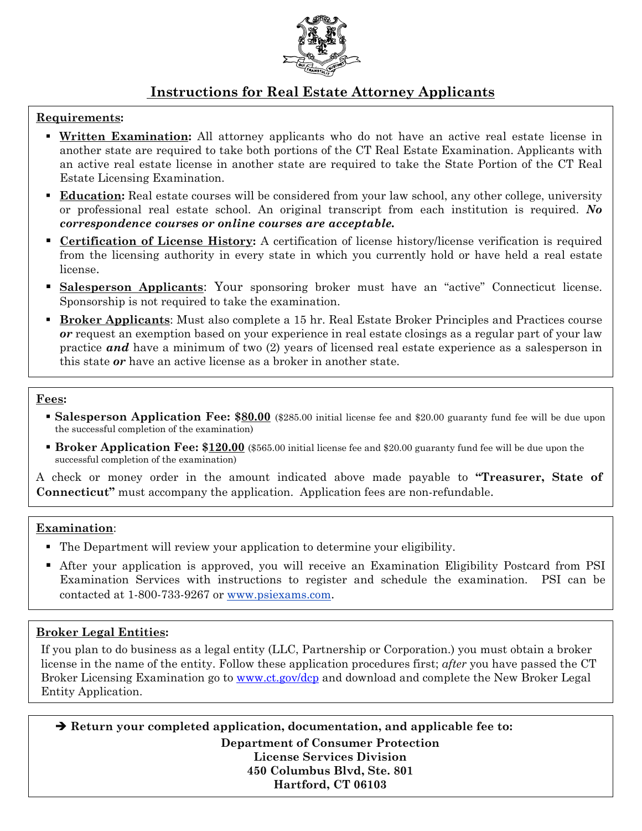

# **Instructions for Real Estate Attorney Applicants**

## **Requirements:**

- **Written Examination:** All attorney applicants who do not have an active real estate license in another state are required to take both portions of the CT Real Estate Examination. Applicants with an active real estate license in another state are required to take the State Portion of the CT Real Estate Licensing Examination.
- **Education:** Real estate courses will be considered from your law school, any other college, university or professional real estate school. An original transcript from each institution is required. *No correspondence courses or online courses are acceptable.*
- **Certification of License History:** A certification of license history/license verification is required from the licensing authority in every state in which you currently hold or have held a real estate license.
- **Salesperson Applicants**: Your sponsoring broker must have an "active" Connecticut license. Sponsorship is not required to take the examination.
- **Broker Applicants**: Must also complete a 15 hr. Real Estate Broker Principles and Practices course *or* request an exemption based on your experience in real estate closings as a regular part of your law practice *and* have a minimum of two (2) years of licensed real estate experience as a salesperson in this state *or* have an active license as a broker in another state.

### **Fees:**

l,

- **Salesperson Application Fee: \$80.00** (\$285.00 initial license fee and \$20.00 guaranty fund fee will be due upon the successful completion of the examination)
- **Broker Application Fee: \$120.00** (\$565.00 initial license fee and \$20.00 guaranty fund fee will be due upon the successful completion of the examination)

A check or money order in the amount indicated above made payable to **"Treasurer, State of Connecticut"** must accompany the application. Application fees are non-refundable.

### **Examination**:

- The Department will review your application to determine your eligibility.
- After your application is approved, you will receive an Examination Eligibility Postcard from PSI Examination Services with instructions to register and schedule the examination. PSI can be contacted at 1-800-733-9267 or www.psiexams.com.

## **Broker Legal Entities:**

If you plan to do business as a legal entity (LLC, Partnership or Corporation.) you must obtain a broker license in the name of the entity. Follow these application procedures first; *after* you have passed the CT Broker Licensing Examination go to www.ct.gov/dcp and download and complete the New Broker Legal Entity Application.

 **Return your completed application, documentation, and applicable fee to: Department of Consumer Protection License Services Division 450 Columbus Blvd, Ste. 801 Hartford, CT 06103**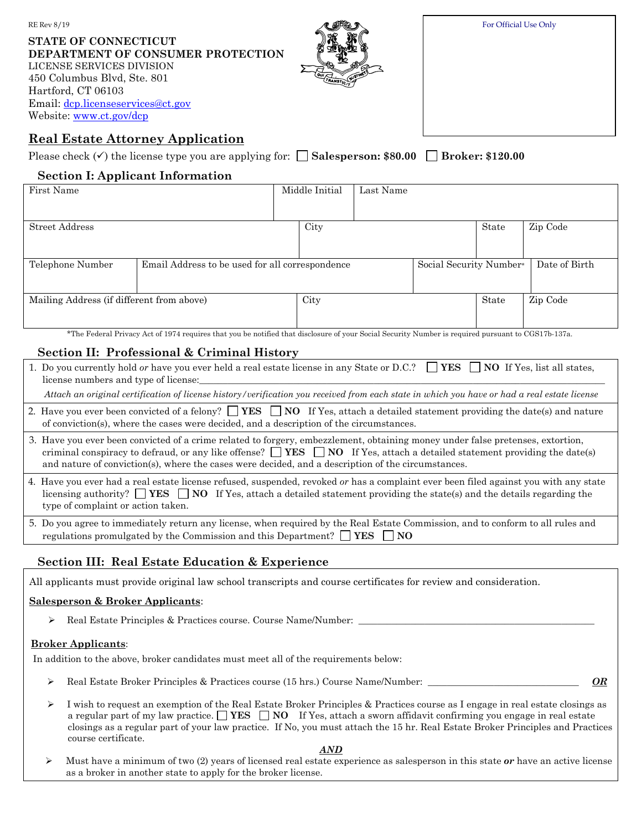For Official Use Only

| STATE OF CONNECTICUT              |
|-----------------------------------|
| DEPARTMENT OF CONSUMER PROTECTION |
| LICENSE SERVICES DIVISION         |
| 450 Columbus Blvd, Ste. 801       |
| Hartford. CT 06103                |
| Email: dcp.licenseservices@ct.gov |
| Website: www.ct.gov/dcp           |

# **Real Estate Attorney Application**

RE Rev 8/19

| Please check $(\checkmark)$ the license type you are applying for: $\Box$ Salesperson: \$80.00 $\Box$ Broker: \$120.00 |  |  |
|------------------------------------------------------------------------------------------------------------------------|--|--|
|------------------------------------------------------------------------------------------------------------------------|--|--|

### **Section I: Applicant Information**

| First Name                                |                                                 |      | Middle Initial | Last Name |                         |          |               |
|-------------------------------------------|-------------------------------------------------|------|----------------|-----------|-------------------------|----------|---------------|
|                                           |                                                 |      |                |           |                         |          |               |
| <b>Street Address</b>                     |                                                 |      | City           |           |                         | State    | Zip Code      |
|                                           |                                                 |      |                |           |                         |          |               |
| Telephone Number                          | Email Address to be used for all correspondence |      |                |           | Social Security Number* |          | Date of Birth |
|                                           |                                                 |      |                |           |                         |          |               |
| Mailing Address (if different from above) |                                                 | City |                |           | State                   | Zip Code |               |
|                                           |                                                 |      |                |           |                         |          |               |

\*The Federal Privacy Act of 1974 requires that you be notified that disclosure of your Social Security Number is required pursuant to CGS17b-137a.

# **Section II: Professional & Criminal History**

| 1. Do you currently hold or have you ever held a real estate license in any State or D.C.? $\Box$ YES $\Box$ NO If Yes, list all states, |  |
|------------------------------------------------------------------------------------------------------------------------------------------|--|
| license numbers and type of license:                                                                                                     |  |

*Attach an original certification of license history/verification you received from each state in which you have or had a real estate license*

- 2. Have you ever been convicted of a felony?  $\Box$  **YES**  $\Box$  **NO** If Yes, attach a detailed statement providing the date(s) and nature of conviction(s), where the cases were decided, and a description of the circumstances.
- 3. Have you ever been convicted of a crime related to forgery, embezzlement, obtaining money under false pretenses, extortion, criminal conspiracy to defraud, or any like offense?  $\Box$  **YES**  $\Box$  **NO** If Yes, attach a detailed statement providing the date(s) and nature of conviction(s), where the cases were decided, and a description of the circumstances.
- 4. Have you ever had a real estate license refused, suspended, revoked *or* has a complaint ever been filed against you with any state licensing authority? **YES**  $\Box$  **NO** If Yes, attach a detailed statement providing the state(s) and the details regarding the type of complaint or action taken.
- 5. Do you agree to immediately return any license, when required by the Real Estate Commission, and to conform to all rules and regulations promulgated by the Commission and this Department?  $\Box$  **YES**  $\Box$  **NO**

## **Section III: Real Estate Education & Experience**

All applicants must provide original law school transcripts and course certificates for review and consideration.

### **Salesperson & Broker Applicants**:

 $\triangleright$  Real Estate Principles & Practices course. Course Name/Number:

#### **Broker Applicants**:

In addition to the above, broker candidates must meet all of the requirements below:

- Real Estate Broker Principles & Practices course (15 hrs.) Course Name/Number: \_\_\_\_\_\_\_\_\_\_\_\_\_\_\_\_\_\_\_\_\_\_\_\_\_\_\_\_\_\_\_\_ *OR*
- $\triangleright$  I wish to request an exemption of the Real Estate Broker Principles & Practices course as I engage in real estate closings as a regular part of my law practice.  $\Box$  **YES**  $\Box$  **NO** If Yes, attach a sworn affidavit confirming you engage in real estate closings as a regular part of your law practice. If No, you must attach the 15 hr. Real Estate Broker Principles and Practices course certificate.

*AND*

 Must have a minimum of two (2) years of licensed real estate experience as salesperson in this state *or* have an active license as a broker in another state to apply for the broker license.